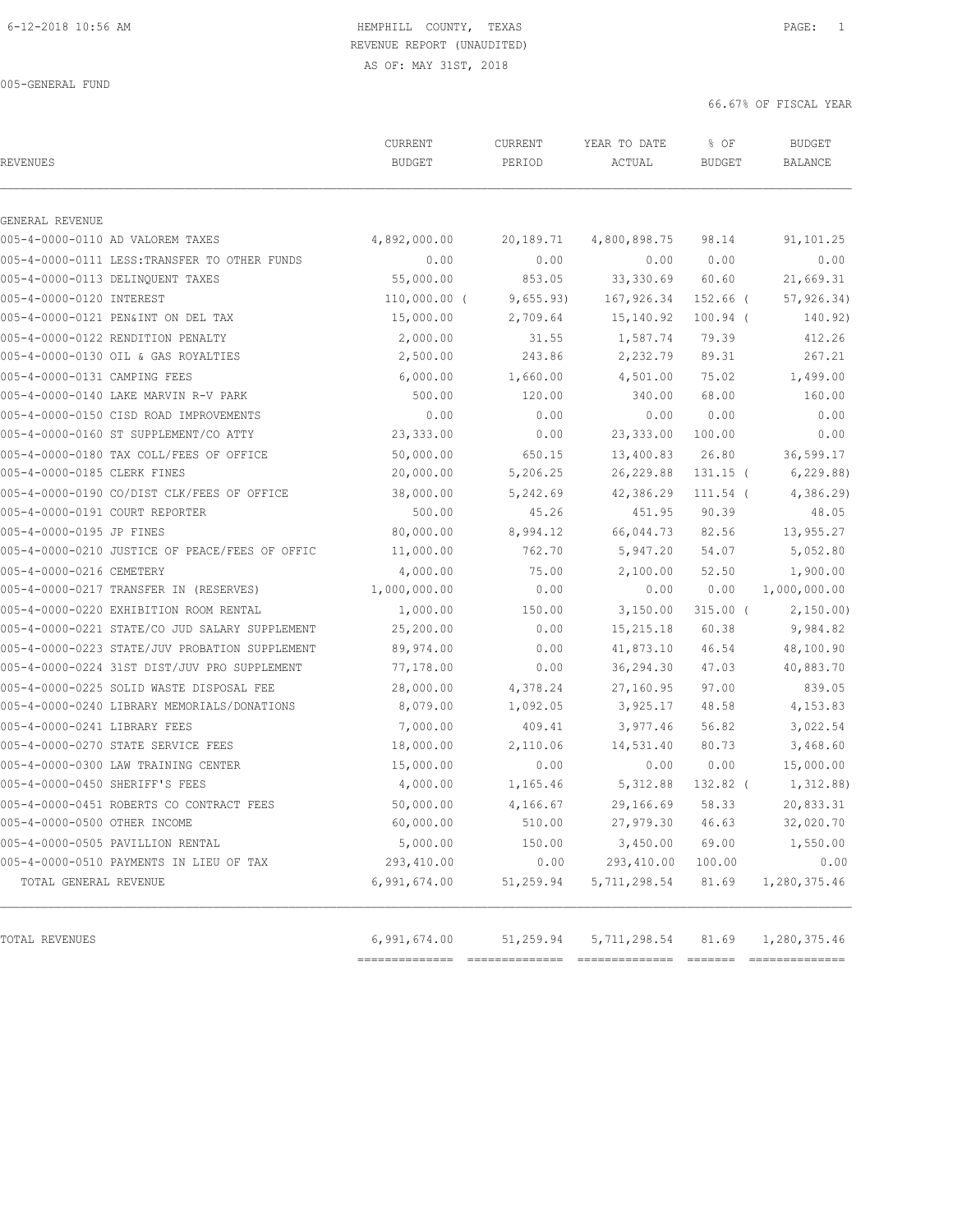AS OF: MAY 31ST, 2018

005-GENERAL FUND

| <b>REVENUES</b>                                | CURRENT<br><b>BUDGET</b> | CURRENT<br>PERIOD | YEAR TO DATE<br>ACTUAL | % OF<br><b>BUDGET</b> | <b>BUDGET</b><br><b>BALANCE</b> |
|------------------------------------------------|--------------------------|-------------------|------------------------|-----------------------|---------------------------------|
| GENERAL REVENUE                                |                          |                   |                        |                       |                                 |
| 005-4-0000-0110 AD VALOREM TAXES               | 4,892,000.00             | 20,189.71         | 4,800,898.75           | 98.14                 | 91,101.25                       |
| 005-4-0000-0111 LESS: TRANSFER TO OTHER FUNDS  | 0.00                     | 0.00              | 0.00                   | 0.00                  | 0.00                            |
| 005-4-0000-0113 DELINQUENT TAXES               | 55,000.00                | 853.05            | 33,330.69              | 60.60                 | 21,669.31                       |
| 005-4-0000-0120 INTEREST                       | $110,000.00$ (           | 9,655.93)         | 167,926.34             | $152.66$ (            | 57, 926.34)                     |
| 005-4-0000-0121 PEN&INT ON DEL TAX             | 15,000.00                | 2,709.64          | 15,140.92              | $100.94$ (            | 140.92)                         |
| 005-4-0000-0122 RENDITION PENALTY              | 2,000.00                 | 31.55             | 1,587.74               | 79.39                 | 412.26                          |
| 005-4-0000-0130 OIL & GAS ROYALTIES            | 2,500.00                 | 243.86            | 2,232.79               | 89.31                 | 267.21                          |
| 005-4-0000-0131 CAMPING FEES                   | 6,000.00                 | 1,660.00          | 4,501.00               | 75.02                 | 1,499.00                        |
| 005-4-0000-0140 LAKE MARVIN R-V PARK           | 500.00                   | 120.00            | 340.00                 | 68.00                 | 160.00                          |
| 005-4-0000-0150 CISD ROAD IMPROVEMENTS         | 0.00                     | 0.00              | 0.00                   | 0.00                  | 0.00                            |
| 005-4-0000-0160 ST SUPPLEMENT/CO ATTY          | 23,333.00                | 0.00              | 23, 333.00             | 100.00                | 0.00                            |
| 005-4-0000-0180 TAX COLL/FEES OF OFFICE        | 50,000.00                | 650.15            | 13,400.83              | 26.80                 | 36,599.17                       |
| 005-4-0000-0185 CLERK FINES                    | 20,000.00                | 5,206.25          | 26, 229.88             | $131.15$ (            | 6, 229.88                       |
| 005-4-0000-0190 CO/DIST CLK/FEES OF OFFICE     | 38,000.00                | 5,242.69          | 42,386.29              | $111.54$ (            | 4,386.29                        |
| 005-4-0000-0191 COURT REPORTER                 | 500.00                   | 45.26             | 451.95                 | 90.39                 | 48.05                           |
| 005-4-0000-0195 JP FINES                       | 80,000.00                | 8,994.12          | 66,044.73              | 82.56                 | 13,955.27                       |
| 005-4-0000-0210 JUSTICE OF PEACE/FEES OF OFFIC | 11,000.00                | 762.70            | 5,947.20               | 54.07                 | 5,052.80                        |
| 005-4-0000-0216 CEMETERY                       | 4,000.00                 | 75.00             | 2,100.00               | 52.50                 | 1,900.00                        |
| 005-4-0000-0217 TRANSFER IN (RESERVES)         | 1,000,000.00             | 0.00              | 0.00                   | 0.00                  | 1,000,000.00                    |
| 005-4-0000-0220 EXHIBITION ROOM RENTAL         | 1,000.00                 | 150.00            | 3,150.00               | $315.00$ (            | 2,150.00                        |
| 005-4-0000-0221 STATE/CO JUD SALARY SUPPLEMENT | 25,200.00                | 0.00              | 15, 215.18             | 60.38                 | 9,984.82                        |
| 005-4-0000-0223 STATE/JUV PROBATION SUPPLEMENT | 89,974.00                | 0.00              | 41,873.10              | 46.54                 | 48,100.90                       |
| 005-4-0000-0224 31ST DIST/JUV PRO SUPPLEMENT   | 77,178.00                | 0.00              | 36,294.30              | 47.03                 | 40,883.70                       |
| 005-4-0000-0225 SOLID WASTE DISPOSAL FEE       | 28,000.00                | 4,378.24          | 27,160.95              | 97.00                 | 839.05                          |
| 005-4-0000-0240 LIBRARY MEMORIALS/DONATIONS    | 8,079.00                 | 1,092.05          | 3,925.17               | 48.58                 | 4,153.83                        |
| 005-4-0000-0241 LIBRARY FEES                   | 7,000.00                 | 409.41            | 3,977.46               | 56.82                 | 3,022.54                        |
| 005-4-0000-0270 STATE SERVICE FEES             | 18,000.00                | 2,110.06          | 14,531.40              | 80.73                 | 3,468.60                        |
| 005-4-0000-0300 LAW TRAINING CENTER            | 15,000.00                | 0.00              | 0.00                   | 0.00                  | 15,000.00                       |
| 005-4-0000-0450 SHERIFF'S FEES                 | 4,000.00                 | 1,165.46          | 5, 312.88              | 132.82 (              | 1,312.88)                       |
| 005-4-0000-0451 ROBERTS CO CONTRACT FEES       | 50,000.00                | 4,166.67          | 29,166.69              | 58.33                 | 20,833.31                       |
| 005-4-0000-0500 OTHER INCOME                   | 60,000.00                | 510.00            | 27,979.30 46.63        |                       | 32,020.70                       |
| 005-4-0000-0505 PAVILLION RENTAL               | 5,000.00                 | 150.00            | 3,450.00               | 69.00                 | 1,550.00                        |
| 005-4-0000-0510 PAYMENTS IN LIEU OF TAX        | 293,410.00               | 0.00              | 293,410.00             | 100.00                | 0.00                            |
| TOTAL GENERAL REVENUE                          | 6,991,674.00             | 51,259.94         | 5,711,298.54           | 81.69                 | 1,280,375.46                    |
| TOTAL REVENUES                                 | 6,991,674.00             | 51,259.94         | 5,711,298.54           | 81.69                 | 1,280,375.46                    |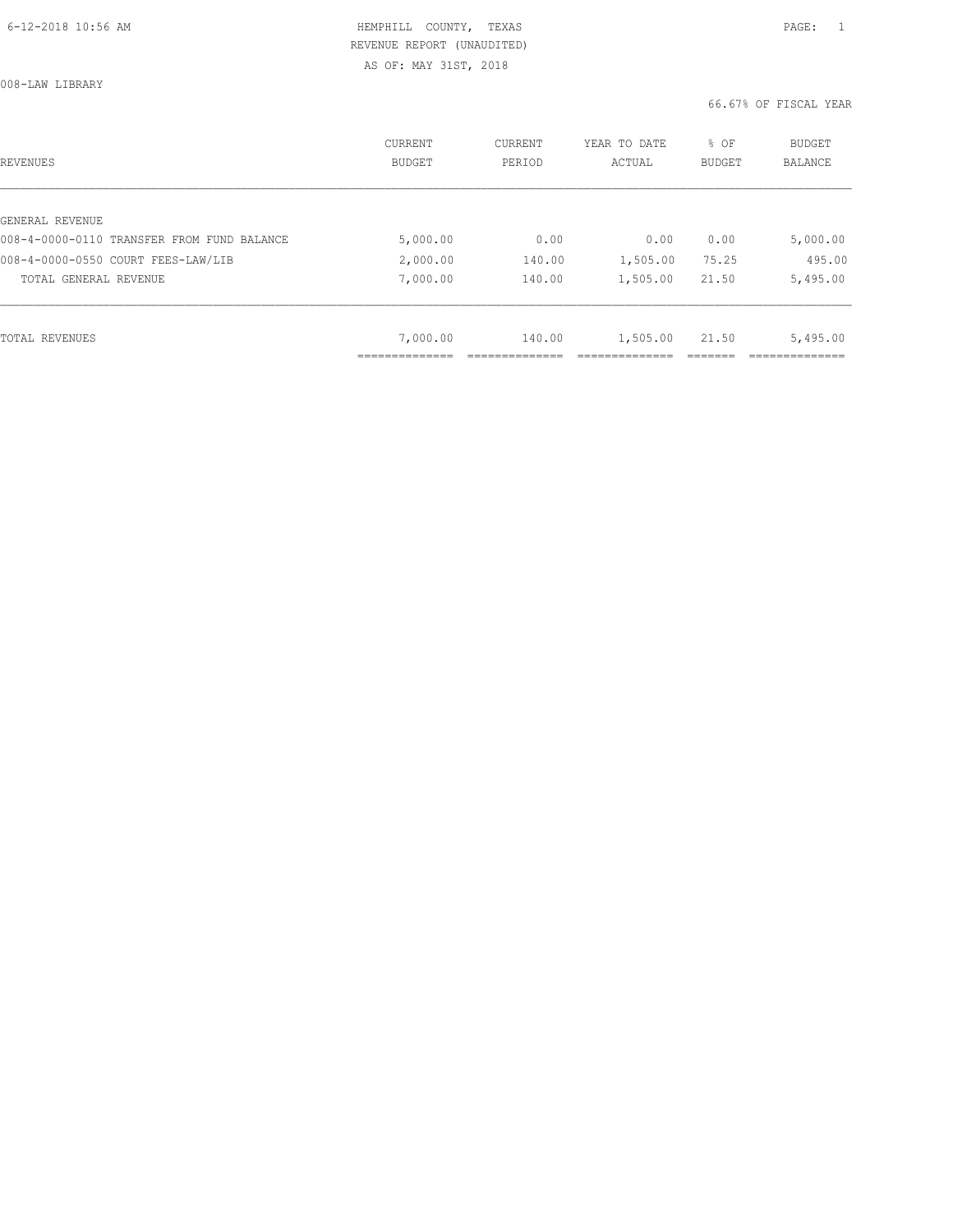008-LAW LIBRARY

| REVENUES                                   | CURRENT<br><b>BUDGET</b> | CURRENT<br>PERIOD | YEAR TO DATE<br>ACTUAL | % OF<br>BUDGET | BUDGET<br><b>BALANCE</b> |
|--------------------------------------------|--------------------------|-------------------|------------------------|----------------|--------------------------|
|                                            |                          |                   |                        |                |                          |
| GENERAL REVENUE                            |                          |                   |                        |                |                          |
| 008-4-0000-0110 TRANSFER FROM FUND BALANCE | 5,000.00                 | 0.00              | 0.00                   | 0.00           | 5,000.00                 |
| 008-4-0000-0550 COURT FEES-LAW/LIB         | 2,000.00                 | 140.00            | 1,505.00               | 75.25          | 495.00                   |
| TOTAL GENERAL REVENUE                      | 7,000.00                 | 140.00            | 1,505.00               | 21.50          | 5,495.00                 |
|                                            |                          |                   |                        |                |                          |
| TOTAL REVENUES                             | 7,000.00                 | 140.00            | 1,505.00               | 21.50          | 5,495.00                 |
|                                            |                          |                   |                        |                |                          |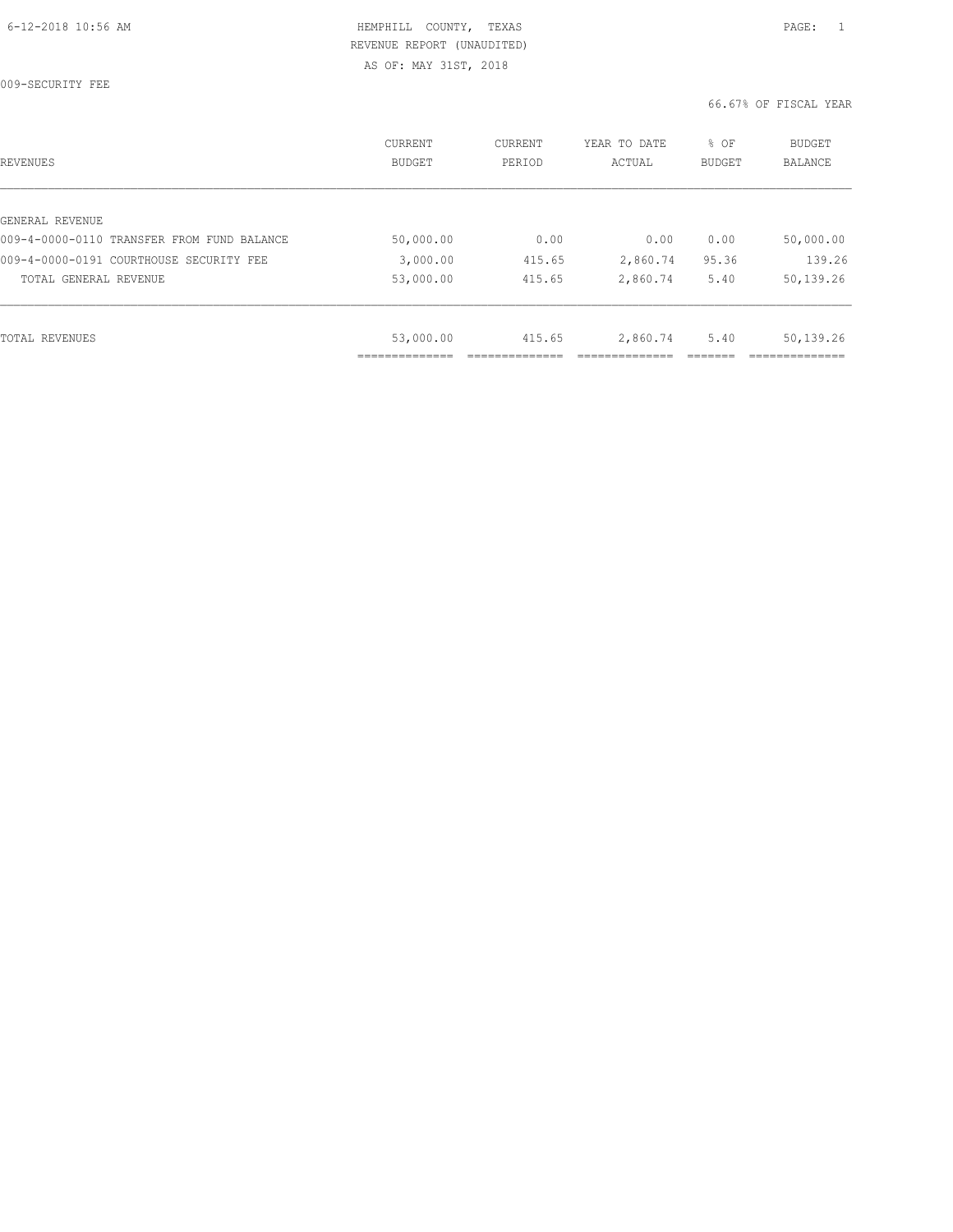009-SECURITY FEE

| REVENUES                                   | <b>CURRENT</b><br><b>BUDGET</b> | CURRENT<br>PERIOD | YEAR TO DATE<br>ACTUAL | % OF<br><b>BUDGET</b> | <b>BUDGET</b><br>BALANCE |
|--------------------------------------------|---------------------------------|-------------------|------------------------|-----------------------|--------------------------|
|                                            |                                 |                   |                        |                       |                          |
| GENERAL REVENUE                            |                                 |                   |                        |                       |                          |
| 009-4-0000-0110 TRANSFER FROM FUND BALANCE | 50,000.00                       | 0.00              | 0.00                   | 0.00                  | 50,000.00                |
| 009-4-0000-0191 COURTHOUSE SECURITY FEE    | 3,000.00                        | 415.65            | 2,860.74               | 95.36                 | 139.26                   |
| TOTAL GENERAL REVENUE                      | 53,000.00                       | 415.65            | 2,860.74               | 5.40                  | 50,139.26                |
|                                            |                                 |                   |                        |                       |                          |
| TOTAL REVENUES                             | 53,000.00                       | 415.65            | 2,860.74               | 5.40                  | 50,139.26                |
|                                            |                                 |                   |                        |                       |                          |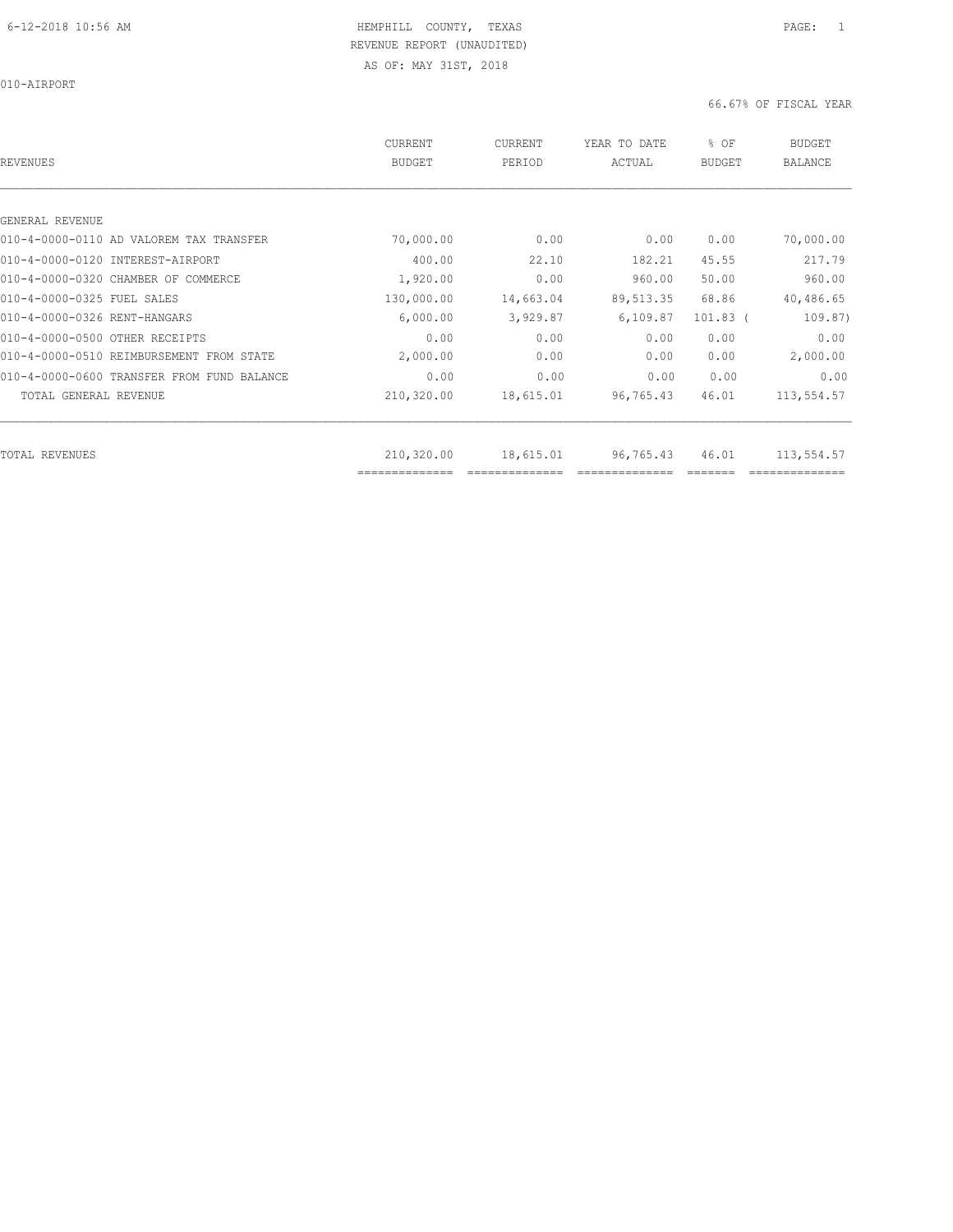010-AIRPORT

| REVENUES                                   | CURRENT<br><b>BUDGET</b>     | CURRENT<br>PERIOD | YEAR TO DATE<br>ACTUAL | % OF<br><b>BUDGET</b> | <b>BUDGET</b><br><b>BALANCE</b> |
|--------------------------------------------|------------------------------|-------------------|------------------------|-----------------------|---------------------------------|
|                                            |                              |                   |                        |                       |                                 |
| GENERAL REVENUE                            |                              |                   |                        |                       |                                 |
| 010-4-0000-0110 AD VALOREM TAX TRANSFER    | 70,000.00                    | 0.00              | 0.00                   | 0.00                  | 70,000.00                       |
| 010-4-0000-0120 INTEREST-AIRPORT           | 400.00                       | 22.10             | 182.21                 | 45.55                 | 217.79                          |
| 010-4-0000-0320 CHAMBER OF COMMERCE        | 1,920.00                     | 0.00              | 960.00                 | 50.00                 | 960.00                          |
| 010-4-0000-0325 FUEL SALES                 | 130,000.00                   | 14,663.04         | 89, 513.35             | 68.86                 | 40,486.65                       |
| 010-4-0000-0326 RENT-HANGARS               | 6,000.00                     | 3,929.87          | 6, 109.87              | $101.83$ (            | 109.87)                         |
| 010-4-0000-0500 OTHER RECEIPTS             | 0.00                         | 0.00              | 0.00                   | 0.00                  | 0.00                            |
| 010-4-0000-0510 REIMBURSEMENT FROM STATE   | 2,000.00                     | 0.00              | 0.00                   | 0.00                  | 2,000.00                        |
| 010-4-0000-0600 TRANSFER FROM FUND BALANCE | 0.00                         | 0.00              | 0.00                   | 0.00                  | 0.00                            |
| TOTAL GENERAL REVENUE                      | 210,320.00                   | 18,615.01         | 96,765.43              | 46.01                 | 113,554.57                      |
|                                            |                              |                   |                        |                       |                                 |
| TOTAL REVENUES                             | 210,320.00<br>============== | 18,615.01         | 96,765.43              | 46.01                 | 113,554.57                      |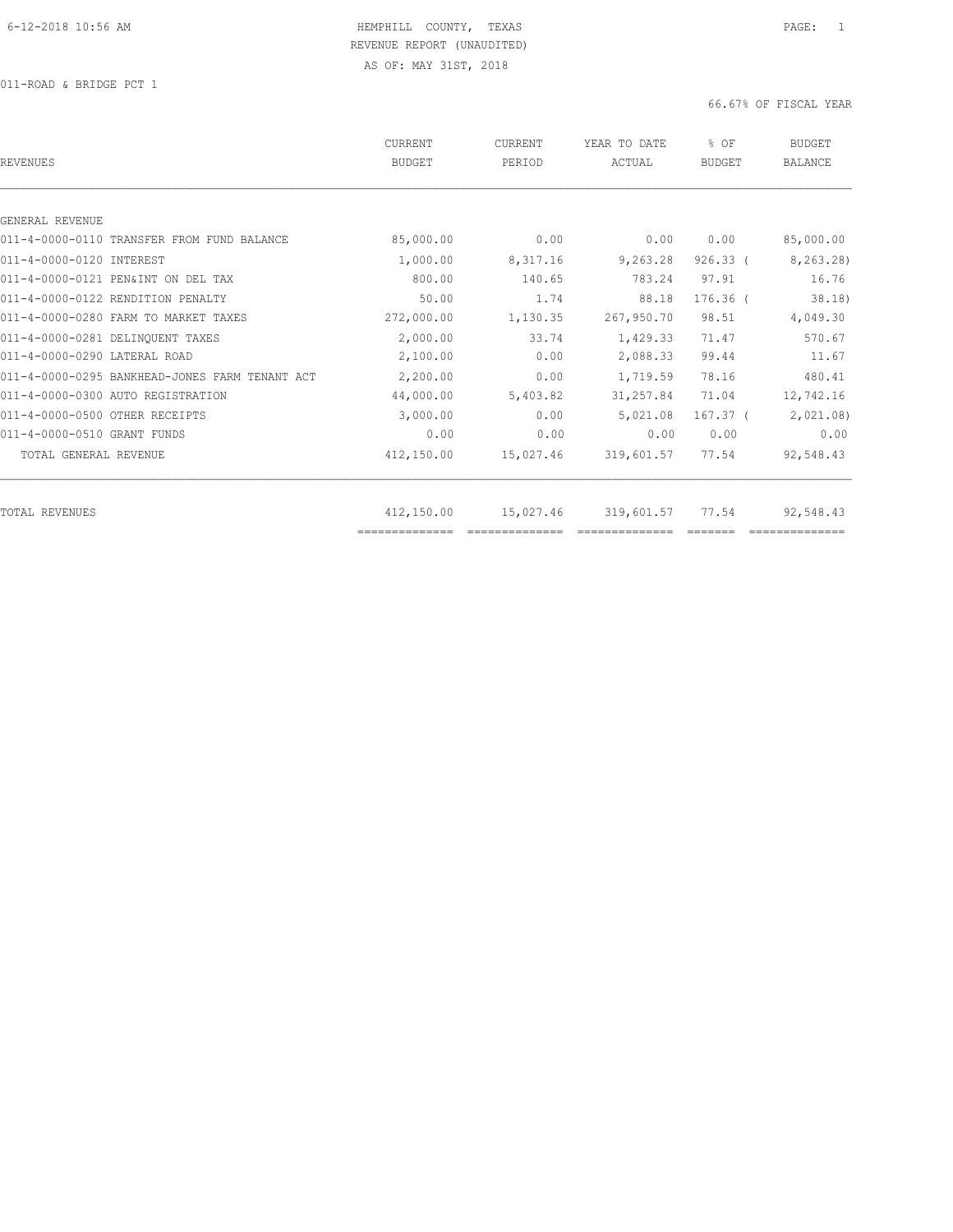011-ROAD & BRIDGE PCT 1

| REVENUES                                       | CURRENT<br><b>BUDGET</b> | CURRENT<br>PERIOD | YEAR TO DATE<br>ACTUAL | % OF<br>BUDGET | <b>BUDGET</b><br>BALANCE |
|------------------------------------------------|--------------------------|-------------------|------------------------|----------------|--------------------------|
|                                                |                          |                   |                        |                |                          |
| GENERAL REVENUE                                |                          |                   |                        |                |                          |
| 011-4-0000-0110 TRANSFER FROM FUND BALANCE     | 85,000.00                | 0.00              | 0.00                   | 0.00           | 85,000.00                |
| 011-4-0000-0120 INTEREST                       | 1,000.00                 | 8,317.16          | 9,263.28               | $926.33$ (     | 8,263.28)                |
| 011-4-0000-0121 PEN&INT ON DEL TAX             | 800.00                   | 140.65            | 783.24                 | 97.91          | 16.76                    |
| 011-4-0000-0122 RENDITION PENALTY              | 50.00                    | 1.74              | 88.18                  | $176.36$ $($   | 38.18)                   |
| 011-4-0000-0280 FARM TO MARKET TAXES           | 272,000.00               | 1,130.35          | 267,950.70             | 98.51          | 4,049.30                 |
| 011-4-0000-0281 DELINQUENT TAXES               | 2,000.00                 | 33.74             | 1,429.33               | 71.47          | 570.67                   |
| 011-4-0000-0290 LATERAL ROAD                   | 2,100.00                 | 0.00              | 2,088.33               | 99.44          | 11.67                    |
| 011-4-0000-0295 BANKHEAD-JONES FARM TENANT ACT | 2,200.00                 | 0.00              | 1,719.59               | 78.16          | 480.41                   |
| 011-4-0000-0300 AUTO REGISTRATION              | 44,000.00                | 5,403.82          | 31,257.84              | 71.04          | 12,742.16                |
| 011-4-0000-0500 OTHER RECEIPTS                 | 3,000.00                 | 0.00              | 5,021.08               | $167.37$ (     | 2,021.08                 |
| 011-4-0000-0510 GRANT FUNDS                    | 0.00                     | 0.00              | 0.00                   | 0.00           | 0.00                     |
| TOTAL GENERAL REVENUE                          | 412,150.00               | 15,027.46         | 319,601.57             | 77.54          | 92,548.43                |
|                                                |                          |                   |                        |                |                          |
| TOTAL REVENUES                                 | 412,150.00               | 15,027.46         | 319,601.57             | 77.54          | 92,548.43                |
|                                                |                          |                   |                        |                |                          |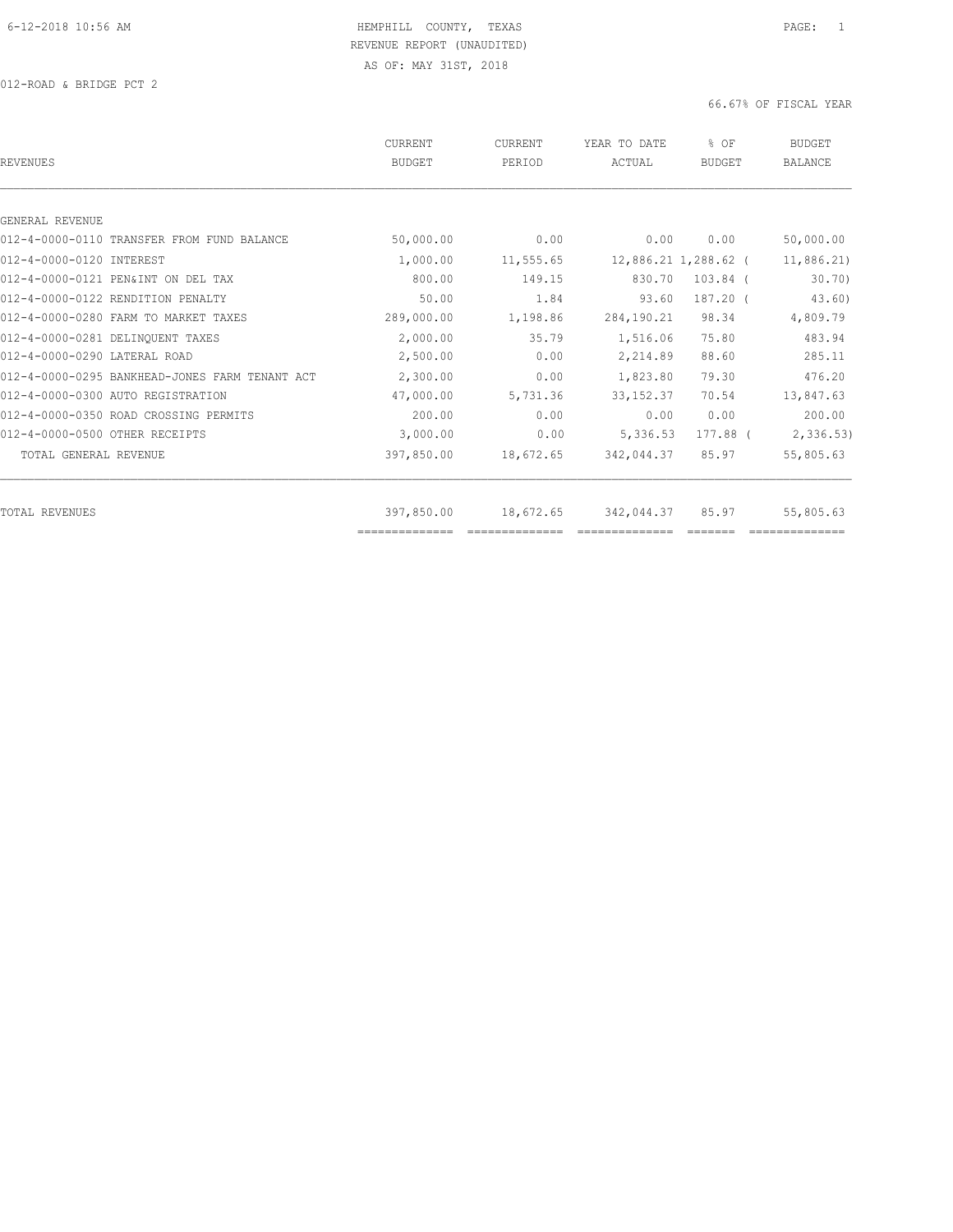| REVENUES                                       | CURRENT<br><b>BUDGET</b> | CURRENT<br>PERIOD | YEAR TO DATE<br>ACTUAL | % OF<br><b>BUDGET</b> | <b>BUDGET</b><br><b>BALANCE</b> |
|------------------------------------------------|--------------------------|-------------------|------------------------|-----------------------|---------------------------------|
|                                                |                          |                   |                        |                       |                                 |
| GENERAL REVENUE                                |                          |                   |                        |                       |                                 |
| 012-4-0000-0110 TRANSFER FROM FUND BALANCE     | 50,000.00                | 0.00              | 0.00                   | 0.00                  | 50,000.00                       |
| 012-4-0000-0120 INTEREST                       | 1,000.00                 | 11,555.65         |                        | 12,886.21 1,288.62 (  | 11,886.21                       |
| 012-4-0000-0121 PEN&INT ON DEL TAX             | 800.00                   | 149.15            | 830.70                 | $103.84$ (            | 30.70                           |
| 012-4-0000-0122 RENDITION PENALTY              | 50.00                    | 1.84              | 93.60                  | 187.20 (              | 43.60)                          |
| 012-4-0000-0280 FARM TO MARKET TAXES           | 289,000.00               | 1,198.86          | 284,190.21             | 98.34                 | 4,809.79                        |
| 012-4-0000-0281 DELINQUENT TAXES               | 2,000.00                 | 35.79             | 1,516.06               | 75.80                 | 483.94                          |
| 012-4-0000-0290 LATERAL ROAD                   | 2,500.00                 | 0.00              | 2,214.89               | 88.60                 | 285.11                          |
| 012-4-0000-0295 BANKHEAD-JONES FARM TENANT ACT | 2,300.00                 | 0.00              | 1,823.80               | 79.30                 | 476.20                          |
| 012-4-0000-0300 AUTO REGISTRATION              | 47,000.00                | 5,731.36          | 33, 152.37             | 70.54                 | 13,847.63                       |
| 012-4-0000-0350 ROAD CROSSING PERMITS          | 200.00                   | 0.00              | 0.00                   | 0.00                  | 200.00                          |
| 012-4-0000-0500 OTHER RECEIPTS                 | 3,000.00                 | 0.00              | 5,336.53               | 177.88 (              | 2,336.53)                       |
| TOTAL GENERAL REVENUE                          | 397,850.00               | 18,672.65         | 342,044.37             | 85.97                 | 55,805.63                       |
| TOTAL REVENUES                                 | 397,850.00               | 18,672.65         | 342,044.37             | 85.97                 | 55,805.63                       |
|                                                | ==============           |                   |                        |                       |                                 |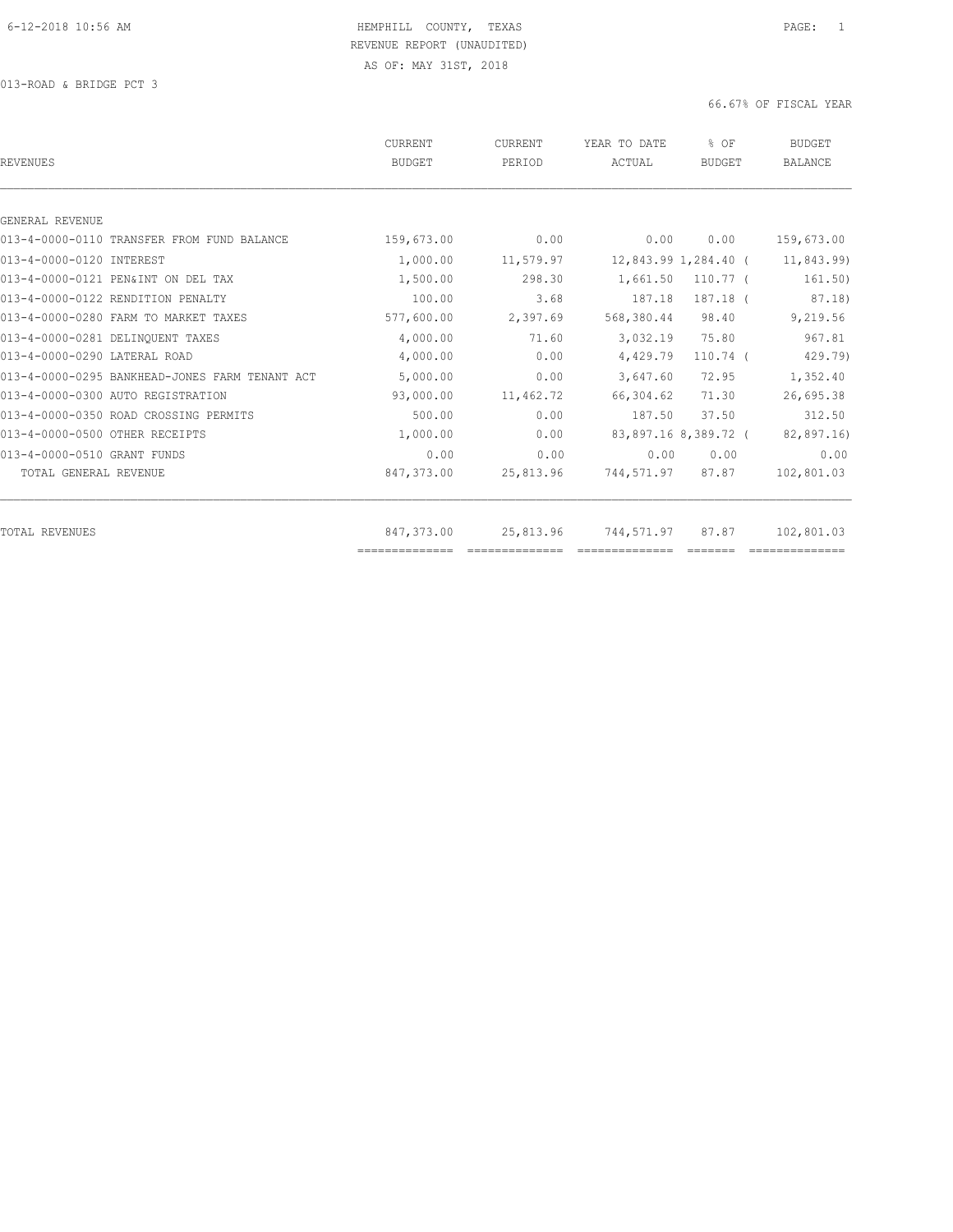013-ROAD & BRIDGE PCT 3

| 0.00<br>0.00<br>0.00<br>159,673.00<br>11,579.97<br>12,843.99 1,284.40 (<br>11,843.99)<br>298.30<br>1,661.50<br>$110.77$ (<br>161.50)<br>87.18)<br>3.68<br>187.18 (<br>187.18<br>2,397.69<br>568,380.44<br>98.40<br>9,219.56 |
|-----------------------------------------------------------------------------------------------------------------------------------------------------------------------------------------------------------------------------|
|                                                                                                                                                                                                                             |
|                                                                                                                                                                                                                             |
|                                                                                                                                                                                                                             |
|                                                                                                                                                                                                                             |
|                                                                                                                                                                                                                             |
|                                                                                                                                                                                                                             |
|                                                                                                                                                                                                                             |
| 967.81<br>71.60<br>75.80<br>3,032.19                                                                                                                                                                                        |
| 0.00<br>429.79)<br>4,429.79<br>$110.74$ (                                                                                                                                                                                   |
| 0.00<br>3,647.60<br>72.95<br>1,352.40                                                                                                                                                                                       |
| 11,462.72<br>71.30<br>26,695.38<br>66,304.62                                                                                                                                                                                |
| 0.00<br>37.50<br>312.50<br>187.50                                                                                                                                                                                           |
| 82,897.16)<br>0.00<br>83,897.16 8,389.72 (                                                                                                                                                                                  |
| 0.00<br>0.00<br>0.00<br>0.00                                                                                                                                                                                                |
| 102,801.03<br>25,813.96<br>744,571.97<br>87.87                                                                                                                                                                              |
| 25,813.96<br>744,571.97<br>87.87<br>102,801.03                                                                                                                                                                              |
|                                                                                                                                                                                                                             |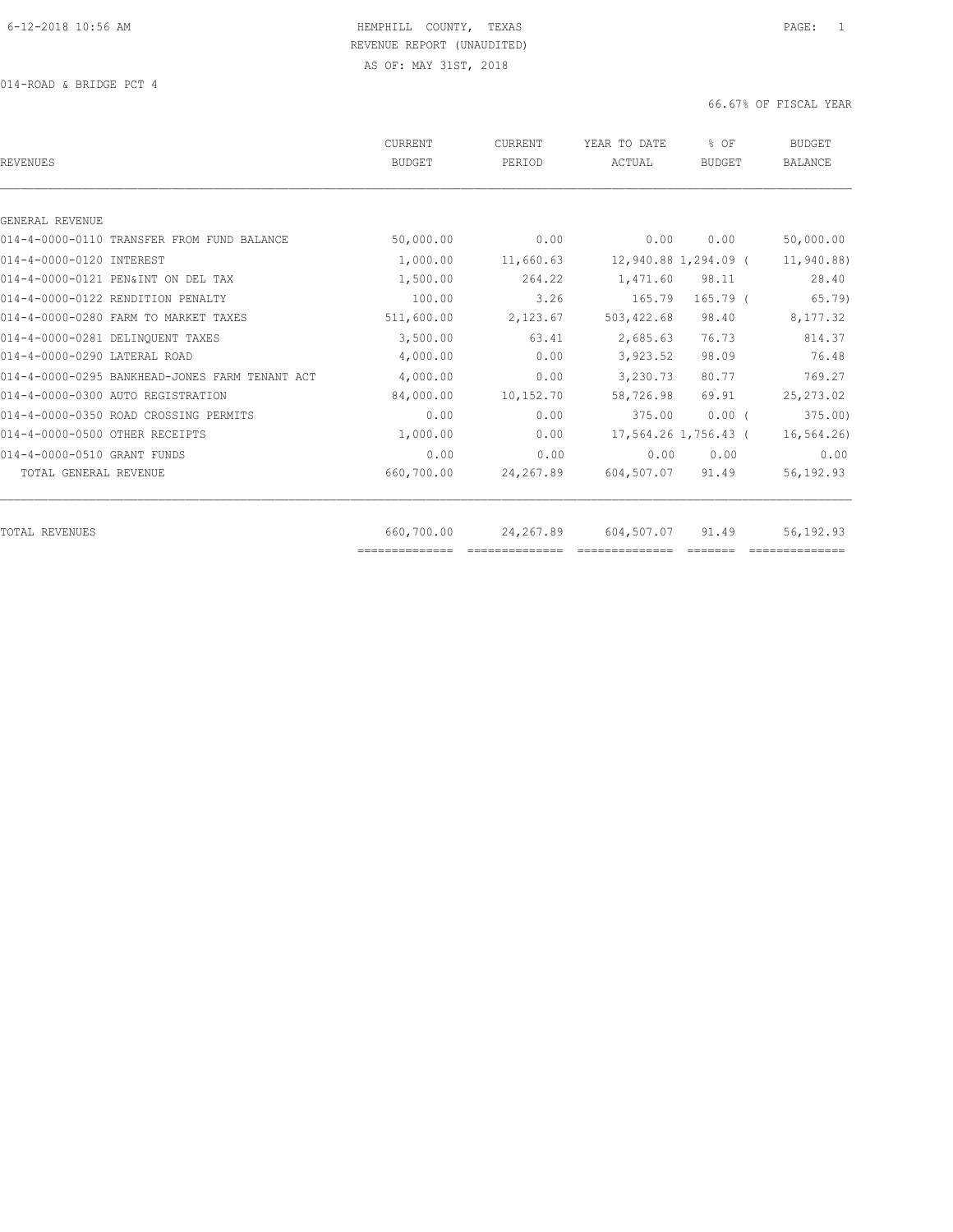| REVENUES                                       | CURRENT<br><b>BUDGET</b> | <b>CURRENT</b><br>PERIOD | YEAR TO DATE<br>ACTUAL | % OF<br>BUDGET       | <b>BUDGET</b><br><b>BALANCE</b> |
|------------------------------------------------|--------------------------|--------------------------|------------------------|----------------------|---------------------------------|
|                                                |                          |                          |                        |                      |                                 |
| GENERAL REVENUE                                |                          |                          |                        |                      |                                 |
| 014-4-0000-0110 TRANSFER FROM FUND BALANCE     | 50,000.00                | 0.00                     | 0.00                   | 0.00                 | 50,000.00                       |
| 014-4-0000-0120 INTEREST                       | 1,000.00                 | 11,660.63                |                        | 12,940.88 1,294.09 ( | 11,940.88)                      |
| 014-4-0000-0121 PEN&INT ON DEL TAX             | 1,500.00                 | 264.22                   | 1,471.60               | 98.11                | 28.40                           |
| 014-4-0000-0122 RENDITION PENALTY              | 100.00                   | 3.26                     | 165.79                 | $165.79$ (           | 65.79)                          |
| 014-4-0000-0280 FARM TO MARKET TAXES           | 511,600.00               | 2,123.67                 | 503, 422.68            | 98.40                | 8,177.32                        |
| 014-4-0000-0281 DELINOUENT TAXES               | 3,500.00                 | 63.41                    | 2,685.63               | 76.73                | 814.37                          |
| 014-4-0000-0290 LATERAL ROAD                   | 4,000.00                 | 0.00                     | 3,923.52               | 98.09                | 76.48                           |
| 014-4-0000-0295 BANKHEAD-JONES FARM TENANT ACT | 4,000.00                 | 0.00                     | 3,230.73               | 80.77                | 769.27                          |
| 014-4-0000-0300 AUTO REGISTRATION              | 84,000.00                | 10,152.70                | 58,726.98              | 69.91                | 25, 273.02                      |
| 014-4-0000-0350 ROAD CROSSING PERMITS          | 0.00                     | 0.00                     | 375.00                 | $0.00$ $($           | 375.00                          |
| 014-4-0000-0500 OTHER RECEIPTS                 | 1,000.00                 | 0.00                     |                        | 17,564.26 1,756.43 ( | 16, 564.26                      |
| 014-4-0000-0510 GRANT FUNDS                    | 0.00                     | 0.00                     | 0.00                   | 0.00                 | 0.00                            |
| TOTAL GENERAL REVENUE                          | 660,700.00               | 24,267.89                | 604,507.07             | 91.49                | 56,192.93                       |
| TOTAL REVENUES                                 | 660,700.00               | 24,267.89                | 604,507.07             | 91.49                | 56,192.93                       |
|                                                | ==============           |                          |                        |                      |                                 |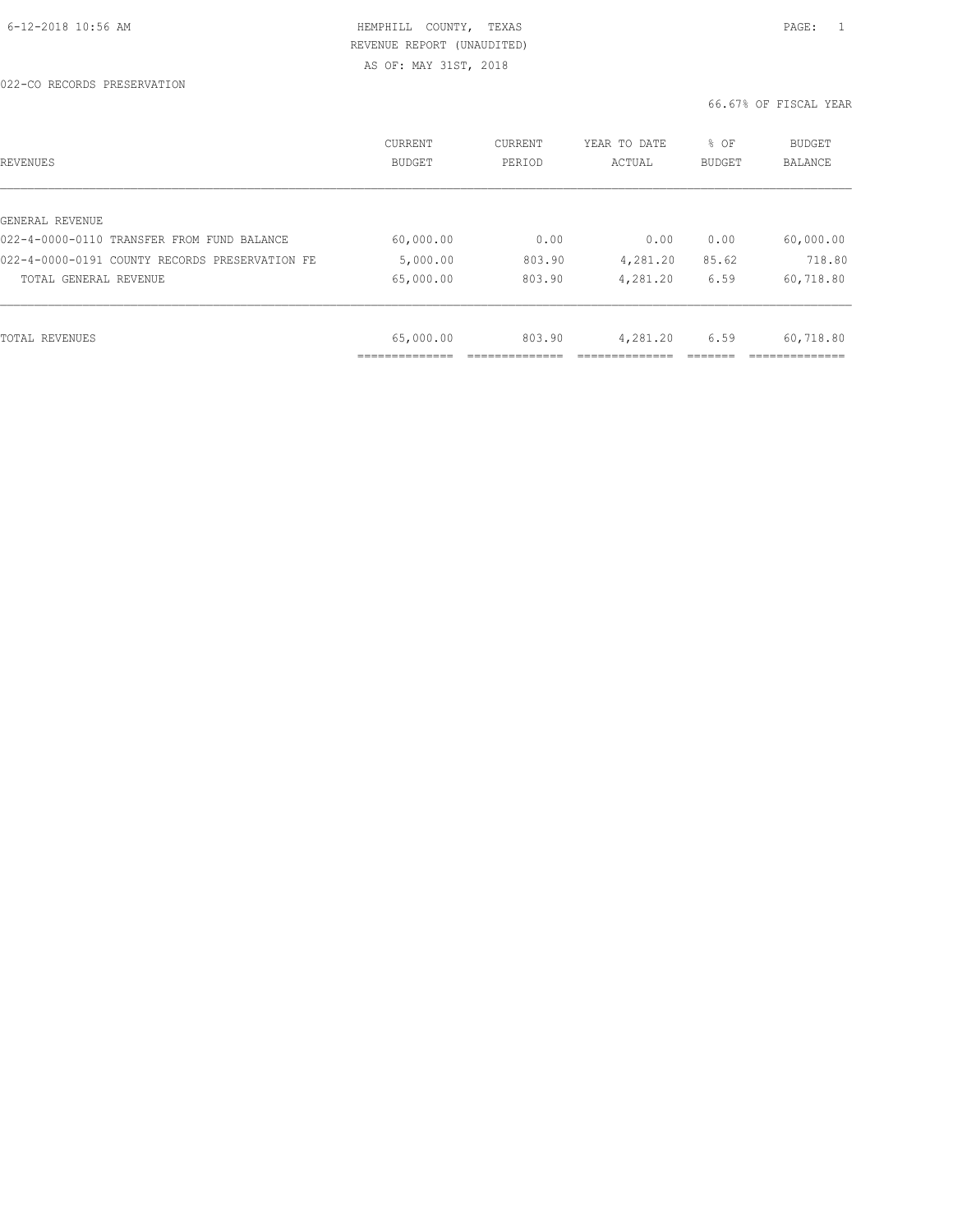| REVENUES                                       | CURRENT<br><b>BUDGET</b> | CURRENT<br>PERIOD | YEAR TO DATE<br>ACTUAL | % OF<br>BUDGET | BUDGET<br>BALANCE |
|------------------------------------------------|--------------------------|-------------------|------------------------|----------------|-------------------|
|                                                |                          |                   |                        |                |                   |
| GENERAL REVENUE                                |                          |                   |                        |                |                   |
| 022-4-0000-0110 TRANSFER FROM FUND BALANCE     | 60,000.00                | 0.00              | 0.00                   | 0.00           | 60,000.00         |
| 022-4-0000-0191 COUNTY RECORDS PRESERVATION FE | 5,000.00                 | 803.90            | 4,281.20               | 85.62          | 718.80            |
| TOTAL GENERAL REVENUE                          | 65,000.00                | 803.90            | 4,281.20               | 6.59           | 60,718.80         |
|                                                |                          |                   |                        |                |                   |
| TOTAL REVENUES                                 | 65,000.00                | 803.90            | 4,281.20               | 6.59           | 60,718.80         |
|                                                |                          |                   |                        |                |                   |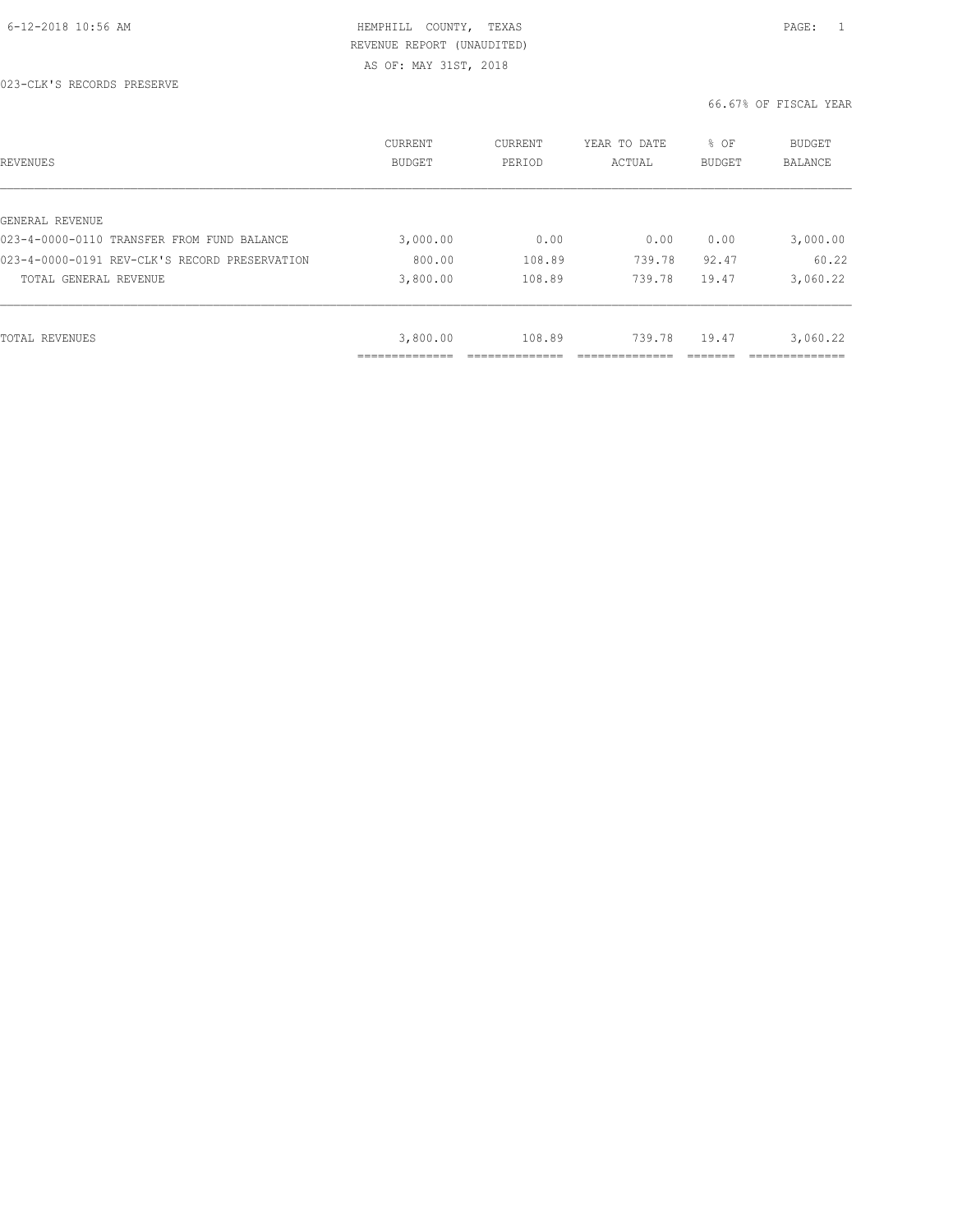| REVENUES                                      | CURRENT<br><b>BUDGET</b> | CURRENT<br>PERIOD | YEAR TO DATE<br>ACTUAL | % OF<br>BUDGET | BUDGET<br>BALANCE |
|-----------------------------------------------|--------------------------|-------------------|------------------------|----------------|-------------------|
|                                               |                          |                   |                        |                |                   |
| GENERAL REVENUE                               |                          |                   |                        |                |                   |
| 023-4-0000-0110 TRANSFER FROM FUND BALANCE    | 3,000.00                 | 0.00              | 0.00                   | 0.00           | 3,000.00          |
| 023-4-0000-0191 REV-CLK'S RECORD PRESERVATION | 800.00                   | 108.89            | 739.78                 | 92.47          | 60.22             |
| TOTAL GENERAL REVENUE                         | 3,800.00                 | 108.89            | 739.78                 | 19.47          | 3,060.22          |
|                                               |                          |                   |                        |                |                   |
| TOTAL REVENUES                                | 3,800.00                 | 108.89            | 739.78                 | 19.47          | 3,060.22          |
|                                               | ----------               |                   |                        |                | __________        |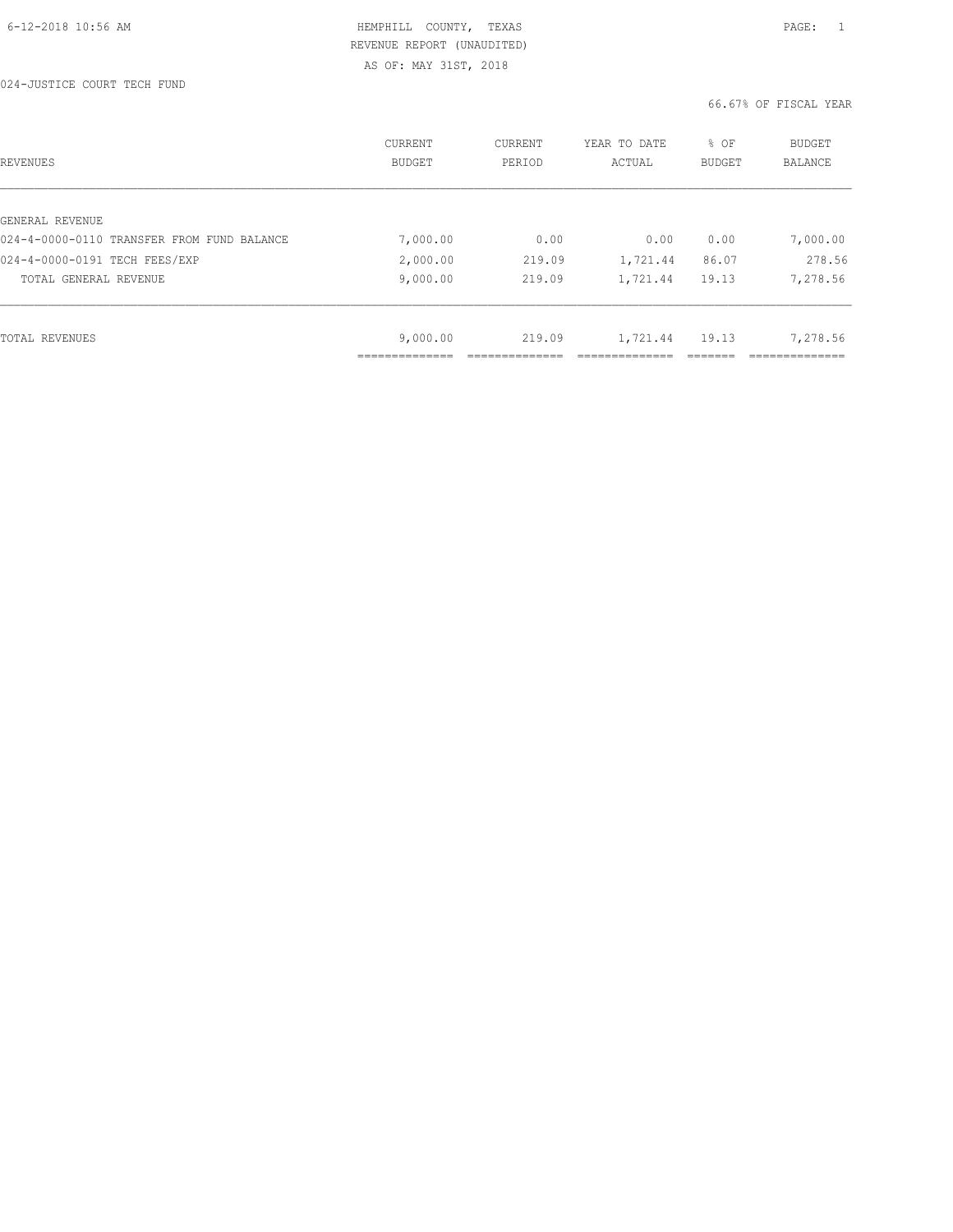| REVENUES                                   | CURRENT<br><b>BUDGET</b> | CURRENT<br>PERIOD | YEAR TO DATE<br>ACTUAL | % OF<br><b>BUDGET</b> | <b>BUDGET</b><br>BALANCE |
|--------------------------------------------|--------------------------|-------------------|------------------------|-----------------------|--------------------------|
|                                            |                          |                   |                        |                       |                          |
| GENERAL REVENUE                            |                          |                   |                        |                       |                          |
| 024-4-0000-0110 TRANSFER FROM FUND BALANCE | 7,000.00                 | 0.00              | 0.00                   | 0.00                  | 7,000.00                 |
| 024-4-0000-0191 TECH FEES/EXP              | 2,000.00                 | 219.09            | 1,721.44               | 86.07                 | 278.56                   |
| TOTAL GENERAL REVENUE                      | 9,000.00                 | 219.09            | 1,721.44               | 19.13                 | 7,278.56                 |
|                                            |                          |                   |                        |                       |                          |
| TOTAL REVENUES                             | 9,000.00                 | 219.09            | 1,721.44               | 19.13                 | 7,278.56                 |
|                                            |                          |                   |                        |                       |                          |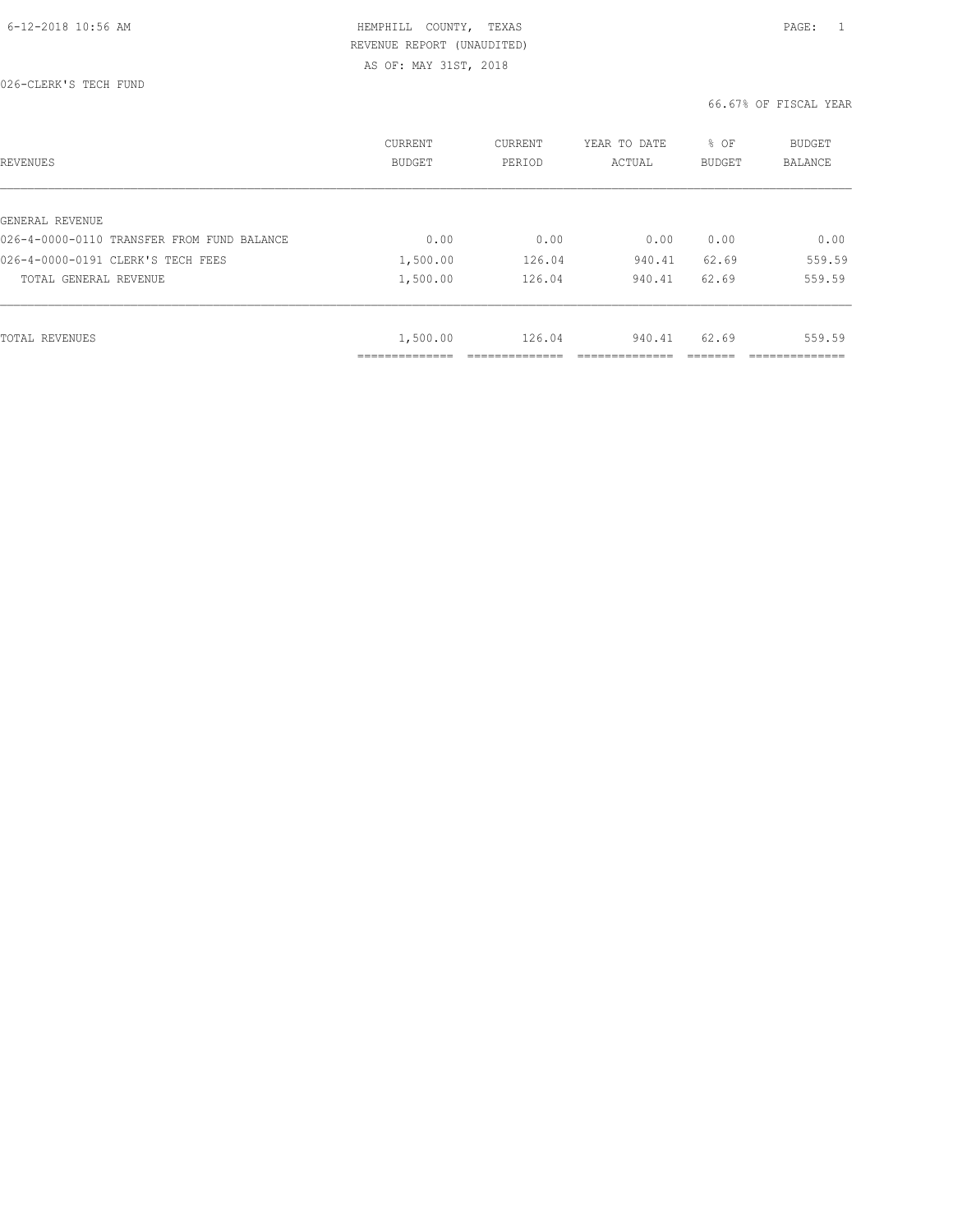| REVENUES                                   | <b>CURRENT</b><br><b>BUDGET</b> | CURRENT<br>PERIOD | YEAR TO DATE<br>ACTUAL | % OF<br><b>BUDGET</b> | <b>BUDGET</b><br>BALANCE |
|--------------------------------------------|---------------------------------|-------------------|------------------------|-----------------------|--------------------------|
|                                            |                                 |                   |                        |                       |                          |
| GENERAL REVENUE                            |                                 |                   |                        |                       |                          |
| 026-4-0000-0110 TRANSFER FROM FUND BALANCE | 0.00                            | 0.00              | 0.00                   | 0.00                  | 0.00                     |
| 026-4-0000-0191 CLERK'S TECH FEES          | 1,500.00                        | 126.04            | 940.41                 | 62.69                 | 559.59                   |
| TOTAL GENERAL REVENUE                      | 1,500.00                        | 126.04            | 940.41                 | 62.69                 | 559.59                   |
|                                            |                                 |                   |                        |                       |                          |
| TOTAL REVENUES                             | 1,500.00                        | 126.04            | 940.41                 | 62.69                 | 559.59                   |
|                                            | -----------<br>-------------    |                   |                        |                       | ___________              |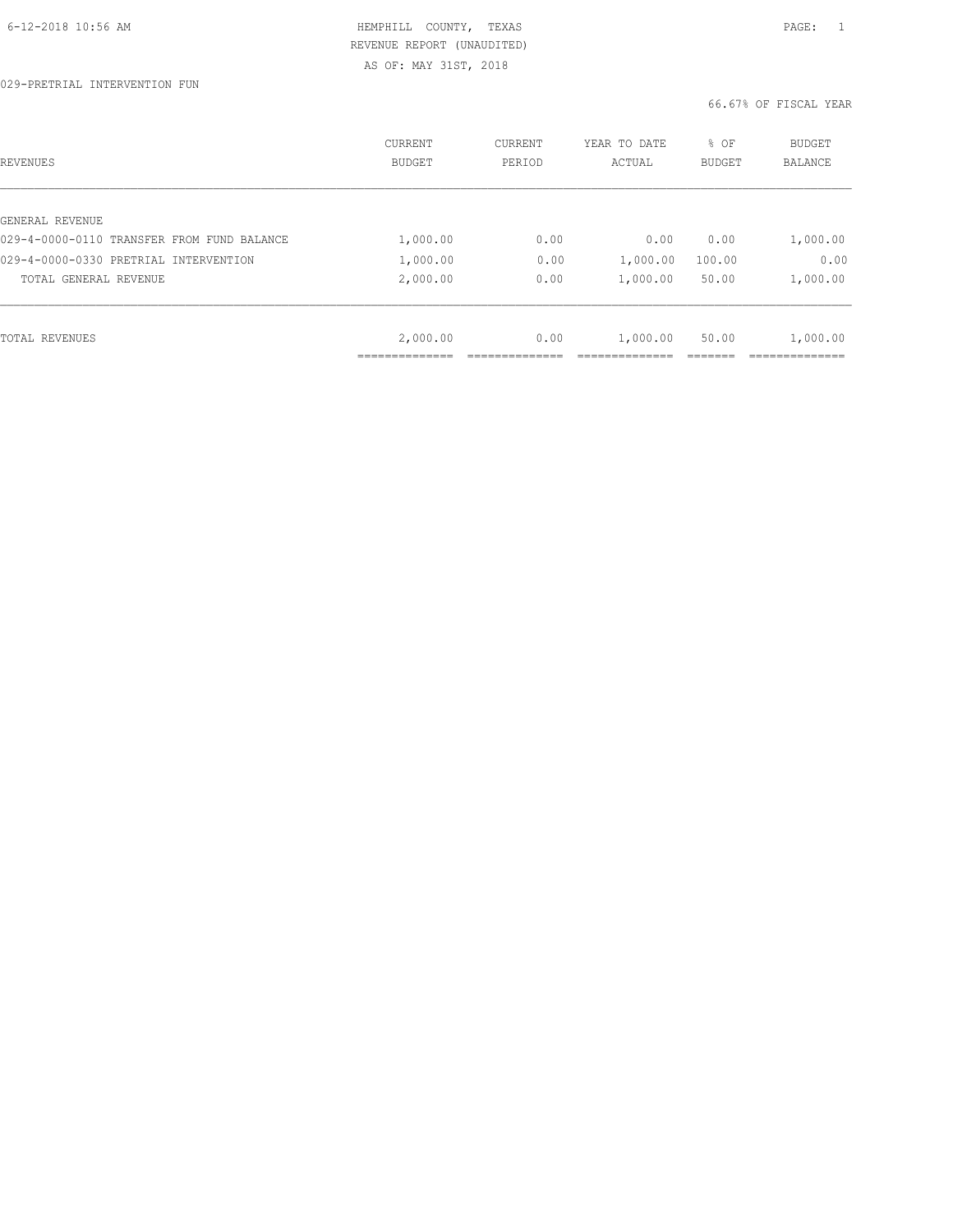| REVENUES                                   | CURRENT<br><b>BUDGET</b> | CURRENT<br>PERIOD | YEAR TO DATE<br>ACTUAL | % OF<br><b>BUDGET</b> | <b>BUDGET</b><br>BALANCE |
|--------------------------------------------|--------------------------|-------------------|------------------------|-----------------------|--------------------------|
|                                            |                          |                   |                        |                       |                          |
| GENERAL REVENUE                            |                          |                   |                        |                       |                          |
| 029-4-0000-0110 TRANSFER FROM FUND BALANCE | 1,000.00                 | 0.00              | 0.00                   | 0.00                  | 1,000.00                 |
| 029-4-0000-0330 PRETRIAL INTERVENTION      | 1,000.00                 | 0.00              | 1,000.00               | 100.00                | 0.00                     |
| TOTAL GENERAL REVENUE                      | 2,000.00                 | 0.00              | 1,000.00               | 50.00                 | 1,000.00                 |
|                                            |                          |                   |                        |                       |                          |
| TOTAL REVENUES                             | 2,000.00                 | 0.00              | 1,000.00               | 50.00                 | 1,000.00                 |
|                                            |                          |                   |                        |                       |                          |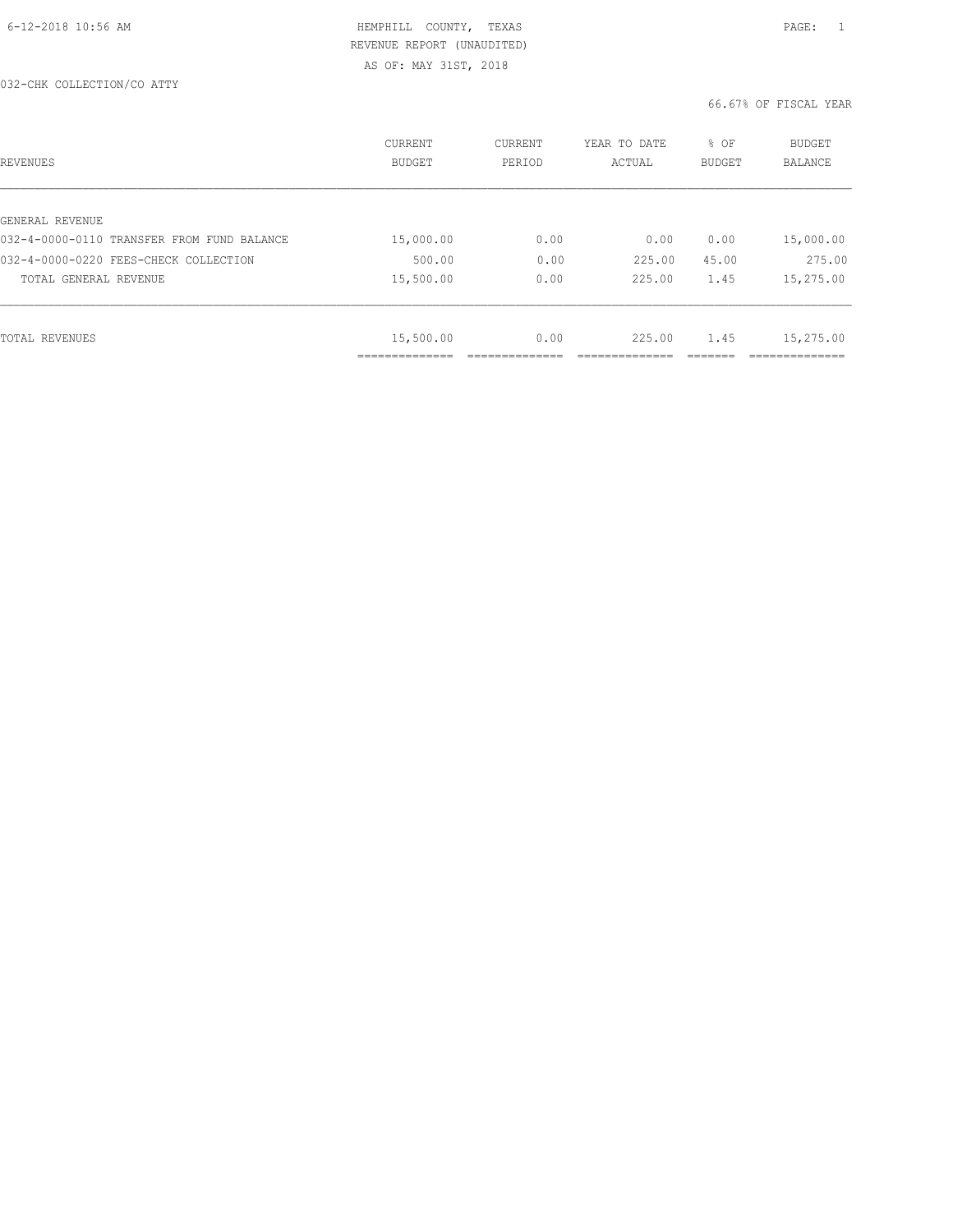| REVENUES                                   | <b>CURRENT</b><br><b>BUDGET</b> | CURRENT<br>PERIOD | YEAR TO DATE<br>ACTUAL | % OF<br>BUDGET | BUDGET<br><b>BALANCE</b> |
|--------------------------------------------|---------------------------------|-------------------|------------------------|----------------|--------------------------|
|                                            |                                 |                   |                        |                |                          |
| GENERAL REVENUE                            |                                 |                   |                        |                |                          |
| 032-4-0000-0110 TRANSFER FROM FUND BALANCE | 15,000.00                       | 0.00              | 0.00                   | 0.00           | 15,000.00                |
| 032-4-0000-0220 FEES-CHECK COLLECTION      | 500.00                          | 0.00              | 225.00                 | 45.00          | 275.00                   |
| TOTAL GENERAL REVENUE                      | 15,500.00                       | 0.00              | 225.00                 | 1.45           | 15,275.00                |
|                                            |                                 |                   |                        |                |                          |
| TOTAL REVENUES                             | 15,500.00                       | 0.00              | 225.00                 | 1.45           | 15,275.00                |
|                                            | ____________                    |                   |                        |                |                          |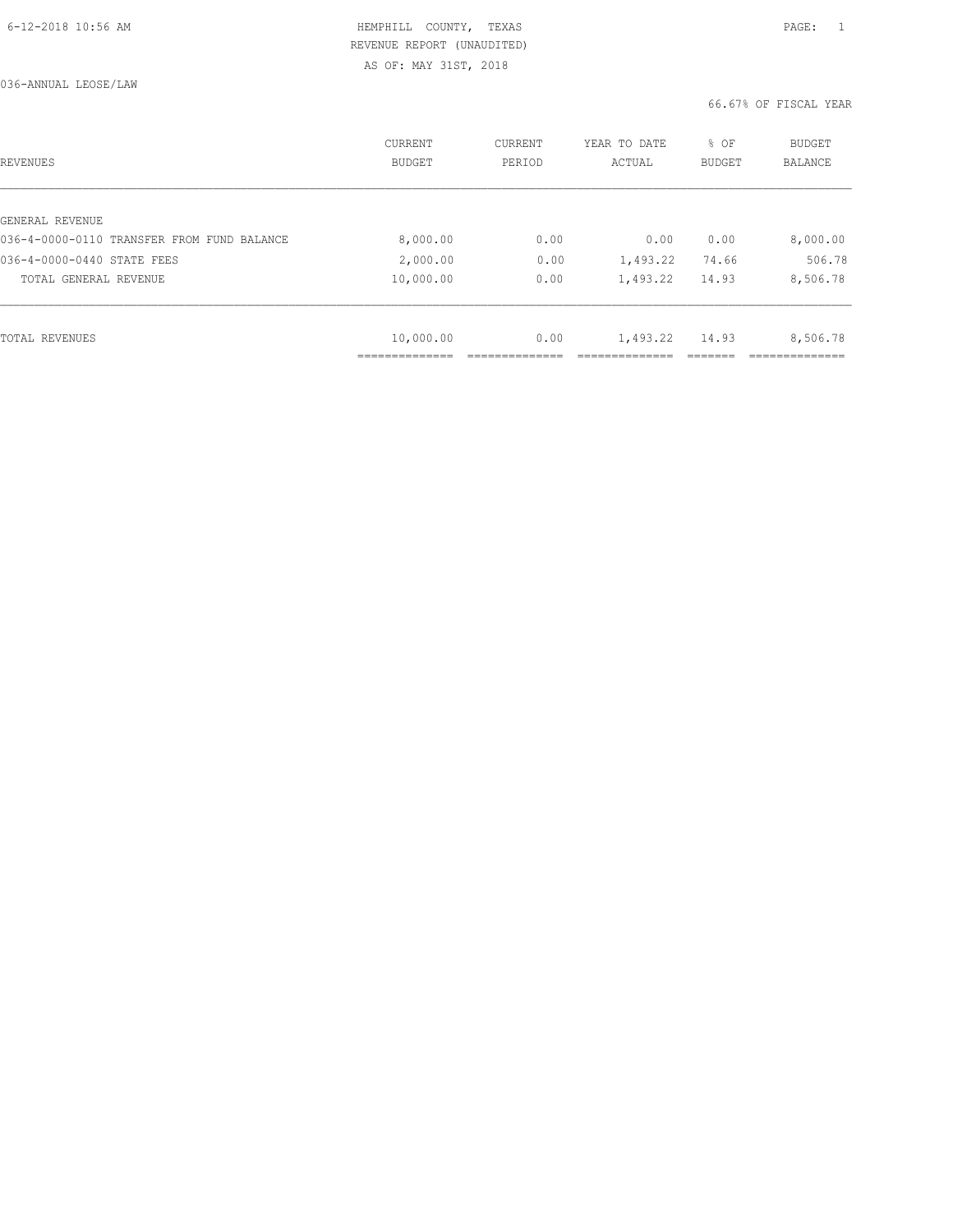036-ANNUAL LEOSE/LAW

| REVENUES                                   | CURRENT<br><b>BUDGET</b> | CURRENT<br>PERIOD | YEAR TO DATE<br>ACTUAL | % OF<br>BUDGET | BUDGET<br><b>BALANCE</b> |
|--------------------------------------------|--------------------------|-------------------|------------------------|----------------|--------------------------|
|                                            |                          |                   |                        |                |                          |
| GENERAL REVENUE                            |                          |                   |                        |                |                          |
| 036-4-0000-0110 TRANSFER FROM FUND BALANCE | 8,000.00                 | 0.00              | 0.00                   | 0.00           | 8,000.00                 |
| 036-4-0000-0440 STATE FEES                 | 2,000.00                 | 0.00              | 1,493.22               | 74.66          | 506.78                   |
| TOTAL GENERAL REVENUE                      | 10,000.00                | 0.00              | 1,493.22               | 14.93          | 8,506.78                 |
|                                            |                          |                   |                        |                |                          |
| TOTAL REVENUES                             | 10,000.00                | 0.00              | 1,493.22               | 14.93          | 8,506.78                 |
|                                            |                          |                   |                        |                |                          |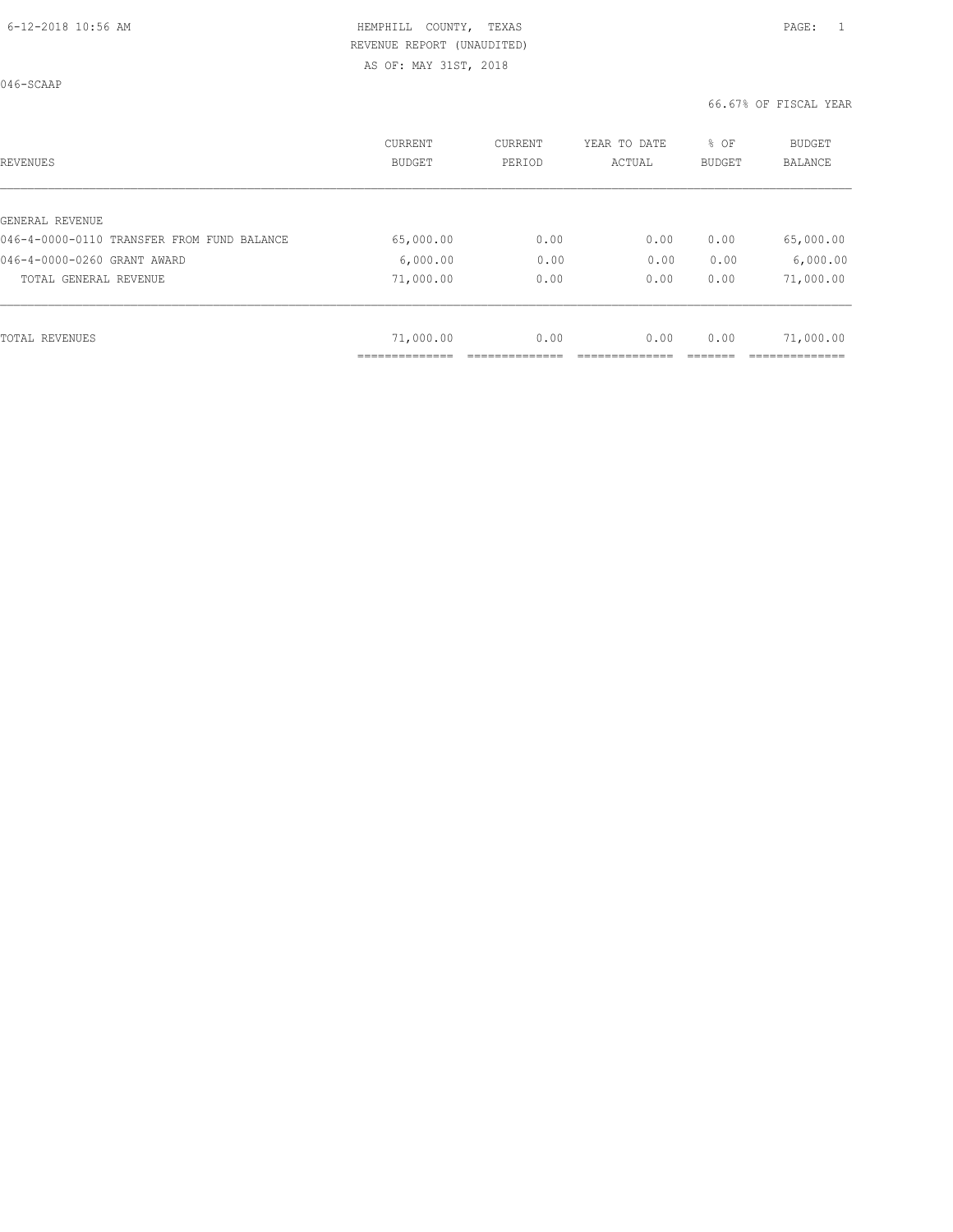046-SCAAP

| <b>REVENUES</b>                            | CURRENT<br><b>BUDGET</b> | <b>CURRENT</b><br>PERIOD | YEAR TO DATE<br>ACTUAL | % OF<br><b>BUDGET</b> | <b>BUDGET</b><br><b>BALANCE</b> |
|--------------------------------------------|--------------------------|--------------------------|------------------------|-----------------------|---------------------------------|
| GENERAL REVENUE                            |                          |                          |                        |                       |                                 |
| 046-4-0000-0110 TRANSFER FROM FUND BALANCE | 65,000.00                | 0.00                     | 0.00                   | 0.00                  | 65,000.00                       |
| 046-4-0000-0260 GRANT AWARD                | 6,000.00                 | 0.00                     | 0.00                   | 0.00                  | 6,000.00                        |
| TOTAL GENERAL REVENUE                      | 71,000.00                | 0.00                     | 0.00                   | 0.00                  | 71,000.00                       |
|                                            |                          |                          |                        |                       |                                 |
| <b>TOTAL REVENUES</b>                      | 71,000.00                | 0.00                     | 0.00                   | 0.00                  | 71,000.00                       |
|                                            | ---------------          |                          |                        |                       |                                 |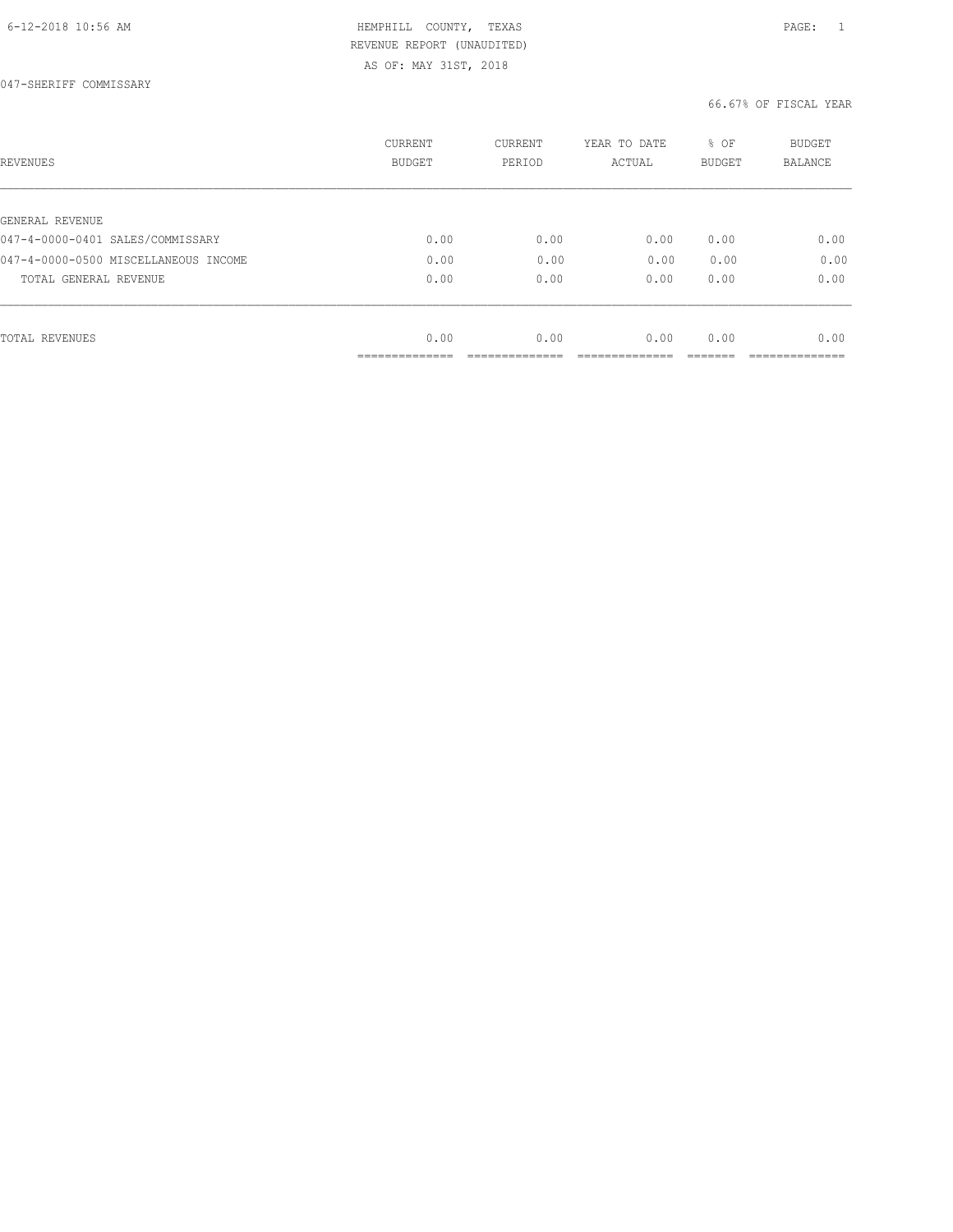| REVENUES                             | <b>CURRENT</b><br><b>BUDGET</b> | CURRENT<br>PERIOD | YEAR TO DATE<br>ACTUAL | % OF<br>BUDGET | BUDGET<br>BALANCE |
|--------------------------------------|---------------------------------|-------------------|------------------------|----------------|-------------------|
|                                      |                                 |                   |                        |                |                   |
| GENERAL REVENUE                      |                                 |                   |                        |                |                   |
| 047-4-0000-0401 SALES/COMMISSARY     | 0.00                            | 0.00              | 0.00                   | 0.00           | 0.00              |
| 047-4-0000-0500 MISCELLANEOUS INCOME | 0.00                            | 0.00              | 0.00                   | 0.00           | 0.00              |
| TOTAL GENERAL REVENUE                | 0.00                            | 0.00              | 0.00                   | 0.00           | 0.00              |
|                                      |                                 |                   |                        |                |                   |
| TOTAL REVENUES                       | 0.00                            | 0.00              | 0.00                   | 0.00           | 0.00              |
|                                      | ___________                     |                   |                        |                |                   |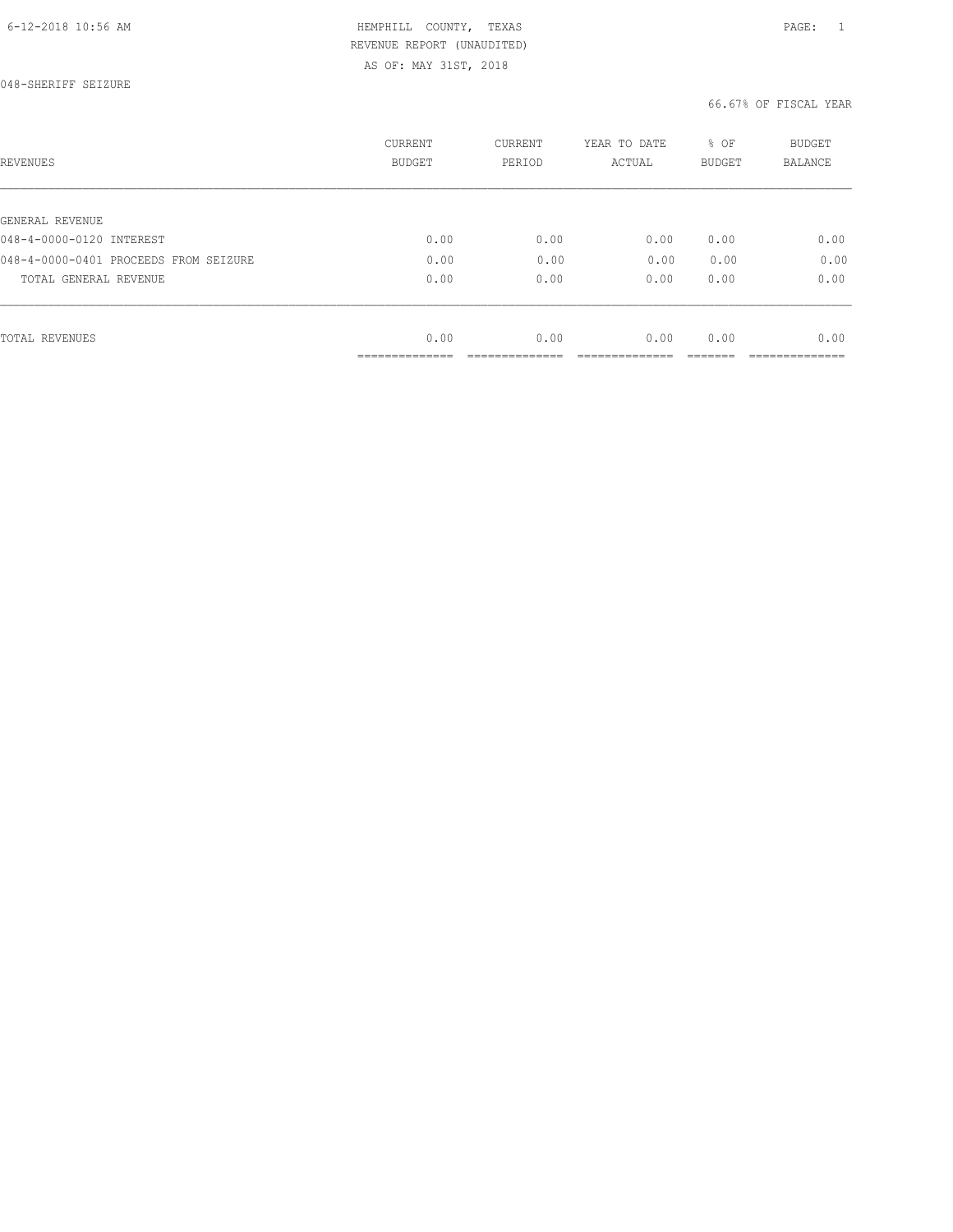048-SHERIFF SEIZURE

| REVENUES                              | <b>CURRENT</b><br><b>BUDGET</b> | CURRENT<br>PERIOD | YEAR TO DATE<br>ACTUAL | % OF<br>BUDGET | BUDGET<br><b>BALANCE</b> |
|---------------------------------------|---------------------------------|-------------------|------------------------|----------------|--------------------------|
|                                       |                                 |                   |                        |                |                          |
| GENERAL REVENUE                       |                                 |                   |                        |                |                          |
| 048-4-0000-0120 INTEREST              | 0.00                            | 0.00              | 0.00                   | 0.00           | 0.00                     |
| 048-4-0000-0401 PROCEEDS FROM SEIZURE | 0.00                            | 0.00              | 0.00                   | 0.00           | 0.00                     |
| TOTAL GENERAL REVENUE                 | 0.00                            | 0.00              | 0.00                   | 0.00           | 0.00                     |
|                                       |                                 |                   |                        |                |                          |
| TOTAL REVENUES                        | 0.00                            | 0.00              | 0.00                   | 0.00           | 0.00                     |
|                                       | ______________                  |                   |                        |                |                          |